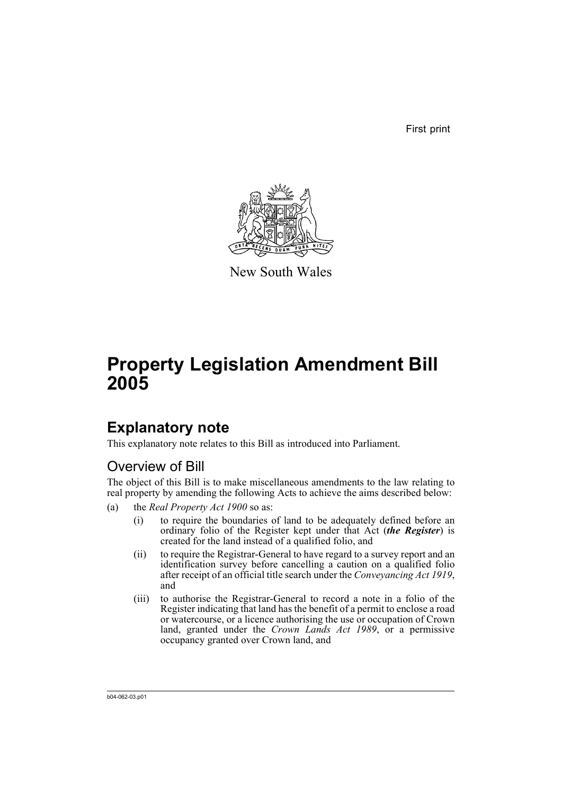First print



New South Wales

# **Property Legislation Amendment Bill 2005**

# **Explanatory note**

This explanatory note relates to this Bill as introduced into Parliament.

### Overview of Bill

The object of this Bill is to make miscellaneous amendments to the law relating to real property by amending the following Acts to achieve the aims described below:

- (a) the *Real Property Act 1900* so as:
	- (i) to require the boundaries of land to be adequately defined before an ordinary folio of the Register kept under that Act (*the Register*) is created for the land instead of a qualified folio, and
	- (ii) to require the Registrar-General to have regard to a survey report and an identification survey before cancelling a caution on a qualified folio after receipt of an official title search under the *Conveyancing Act 1919*, and
	- (iii) to authorise the Registrar-General to record a note in a folio of the Register indicating that land has the benefit of a permit to enclose a road or watercourse, or a licence authorising the use or occupation of Crown land, granted under the *Crown Lands Act 1989*, or a permissive occupancy granted over Crown land, and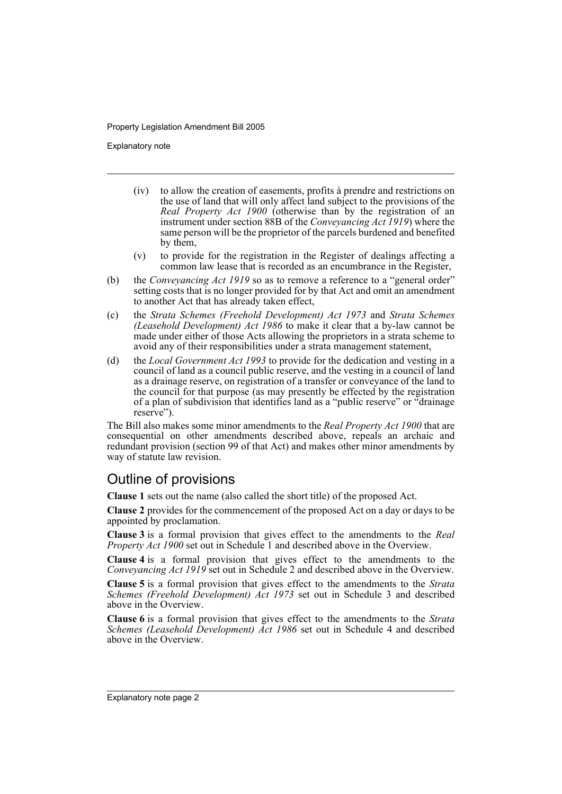Explanatory note

- (iv) to allow the creation of easements, profits à prendre and restrictions on the use of land that will only affect land subject to the provisions of the *Real Property Act 1900* (otherwise than by the registration of an instrument under section 88B of the *Conveyancing Act 1919*) where the same person will be the proprietor of the parcels burdened and benefited by them,
- (v) to provide for the registration in the Register of dealings affecting a common law lease that is recorded as an encumbrance in the Register,
- (b) the *Conveyancing Act 1919* so as to remove a reference to a "general order" setting costs that is no longer provided for by that Act and omit an amendment to another Act that has already taken effect,
- (c) the *Strata Schemes (Freehold Development) Act 1973* and *Strata Schemes (Leasehold Development) Act 1986* to make it clear that a by-law cannot be made under either of those Acts allowing the proprietors in a strata scheme to avoid any of their responsibilities under a strata management statement,
- (d) the *Local Government Act 1993* to provide for the dedication and vesting in a council of land as a council public reserve, and the vesting in a council of land as a drainage reserve, on registration of a transfer or conveyance of the land to the council for that purpose (as may presently be effected by the registration of a plan of subdivision that identifies land as a "public reserve" or "drainage reserve").

The Bill also makes some minor amendments to the *Real Property Act 1900* that are consequential on other amendments described above, repeals an archaic and redundant provision (section 99 of that Act) and makes other minor amendments by way of statute law revision.

### Outline of provisions

**Clause 1** sets out the name (also called the short title) of the proposed Act.

**Clause 2** provides for the commencement of the proposed Act on a day or days to be appointed by proclamation.

**Clause 3** is a formal provision that gives effect to the amendments to the *Real Property Act 1900* set out in Schedule 1 and described above in the Overview.

**Clause 4** is a formal provision that gives effect to the amendments to the *Conveyancing Act 1919* set out in Schedule 2 and described above in the Overview.

**Clause 5** is a formal provision that gives effect to the amendments to the *Strata Schemes (Freehold Development) Act 1973* set out in Schedule 3 and described above in the Overview.

**Clause 6** is a formal provision that gives effect to the amendments to the *Strata Schemes (Leasehold Development) Act 1986* set out in Schedule 4 and described above in the Overview.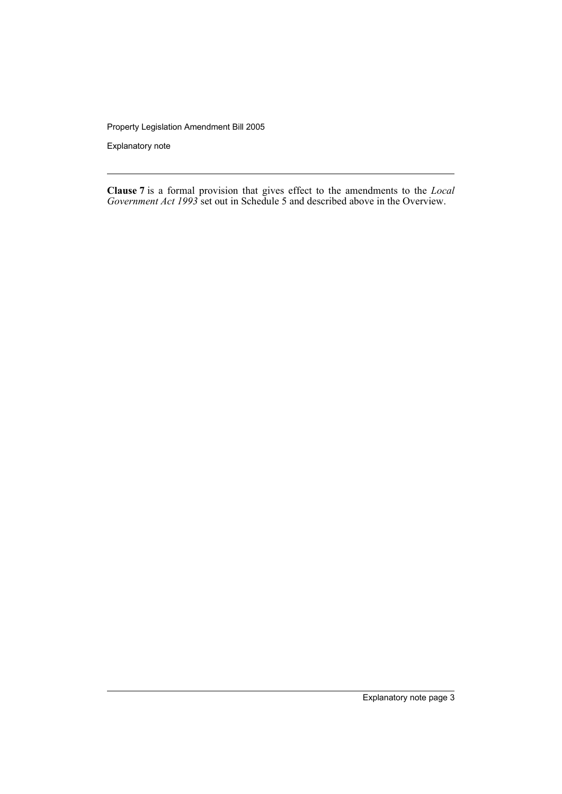Explanatory note

**Clause 7** is a formal provision that gives effect to the amendments to the *Local Government Act 1993* set out in Schedule 5 and described above in the Overview.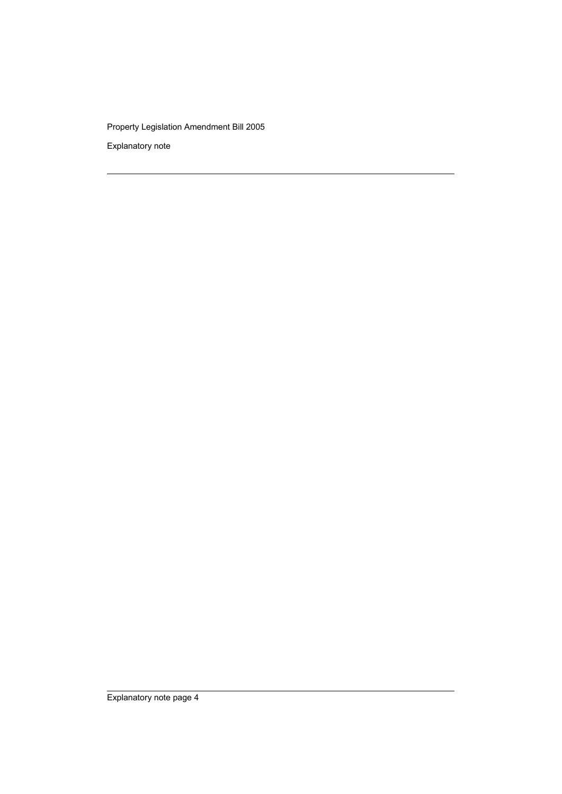Explanatory note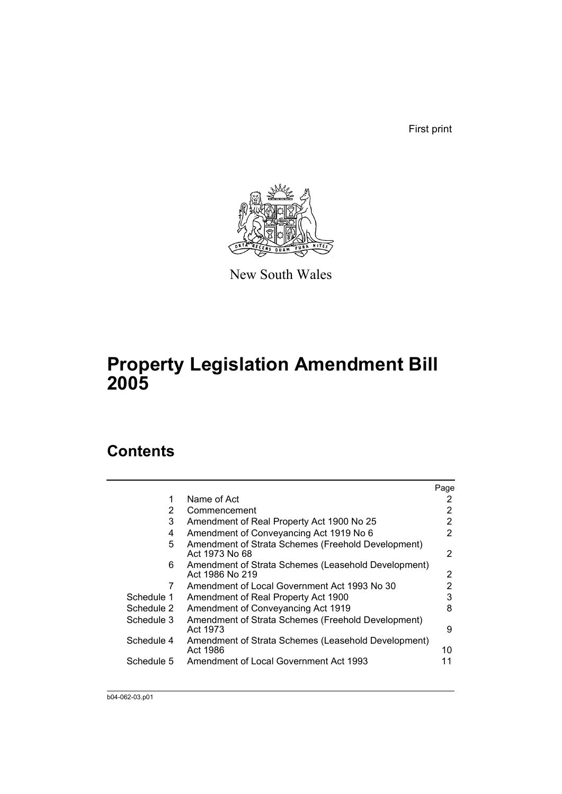First print



New South Wales

# **Property Legislation Amendment Bill 2005**

## **Contents**

|            |                                                                        | Page |
|------------|------------------------------------------------------------------------|------|
| 1          | Name of Act                                                            | 2    |
| 2          | Commencement                                                           | 2    |
| 3          | Amendment of Real Property Act 1900 No 25                              | 2    |
| 4          | Amendment of Conveyancing Act 1919 No 6                                | 2    |
| 5          | Amendment of Strata Schemes (Freehold Development)<br>Act 1973 No 68   | 2    |
| 6          | Amendment of Strata Schemes (Leasehold Development)<br>Act 1986 No 219 | 2    |
| 7          | Amendment of Local Government Act 1993 No 30                           | 2    |
| Schedule 1 | Amendment of Real Property Act 1900                                    | 3    |
| Schedule 2 | Amendment of Conveyancing Act 1919                                     | 8    |
| Schedule 3 | Amendment of Strata Schemes (Freehold Development)<br>Act 1973         | 9    |
| Schedule 4 | Amendment of Strata Schemes (Leasehold Development)<br>Act 1986        | 10   |
| Schedule 5 | Amendment of Local Government Act 1993                                 | 11   |
|            |                                                                        |      |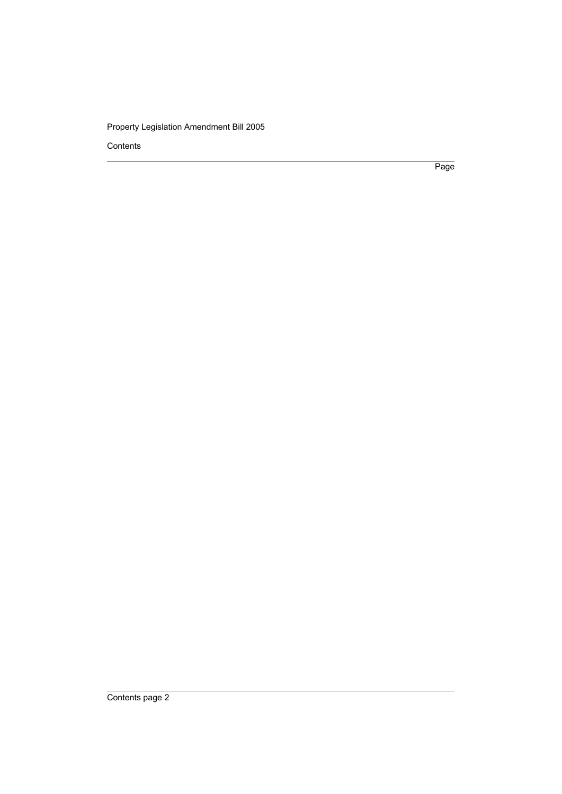Contents

Page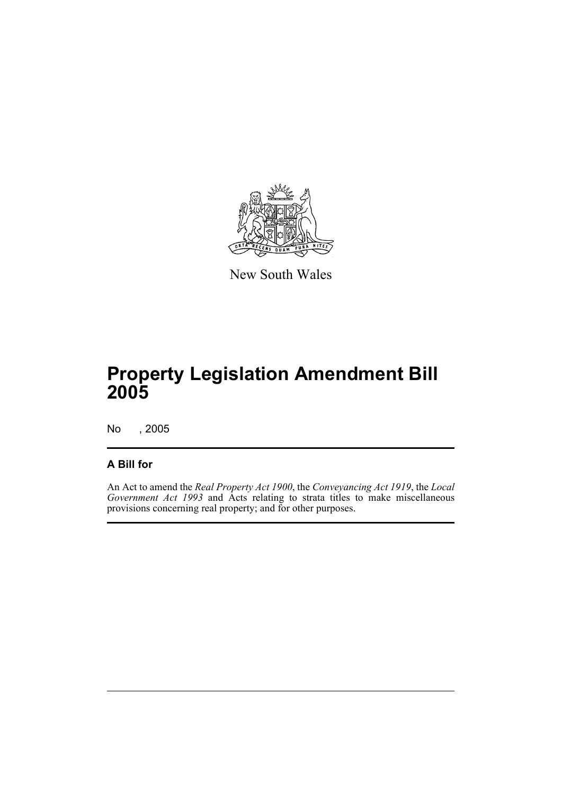

New South Wales

# **Property Legislation Amendment Bill 2005**

No , 2005

#### **A Bill for**

An Act to amend the *Real Property Act 1900*, the *Conveyancing Act 1919*, the *Local Government Act 1993* and Acts relating to strata titles to make miscellaneous provisions concerning real property; and for other purposes.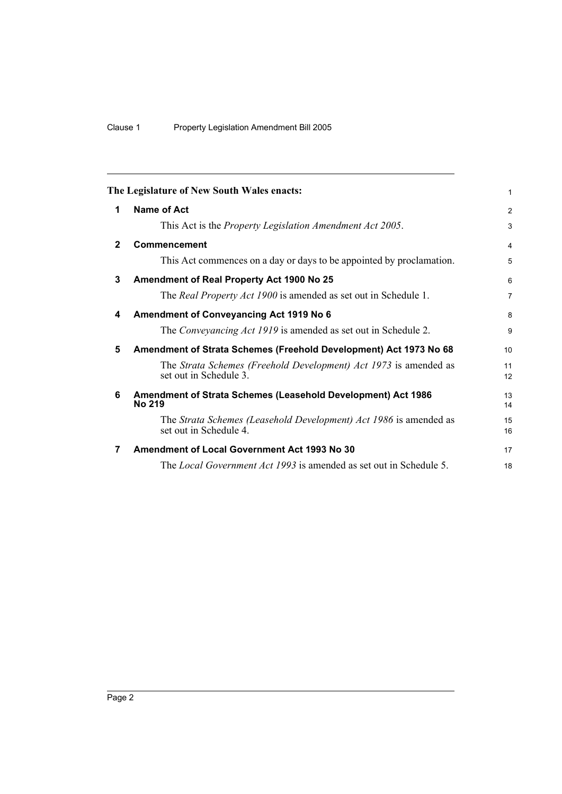|              | The Legislature of New South Wales enacts:                                                  | 1              |
|--------------|---------------------------------------------------------------------------------------------|----------------|
| 1            | <b>Name of Act</b>                                                                          | $\overline{2}$ |
|              | This Act is the <i>Property Legislation Amendment Act 2005</i> .                            | 3              |
| $\mathbf{2}$ | Commencement                                                                                | $\overline{4}$ |
|              | This Act commences on a day or days to be appointed by proclamation.                        | 5              |
| 3            | Amendment of Real Property Act 1900 No 25                                                   | 6              |
|              | The <i>Real Property Act 1900</i> is amended as set out in Schedule 1.                      | $\overline{7}$ |
| 4            | Amendment of Conveyancing Act 1919 No 6                                                     | 8              |
|              | The Conveyancing Act 1919 is amended as set out in Schedule 2.                              | 9              |
| 5            | Amendment of Strata Schemes (Freehold Development) Act 1973 No 68                           | 10             |
|              | The Strata Schemes (Freehold Development) Act 1973 is amended as<br>set out in Schedule 3.  | 11<br>12       |
| 6            | Amendment of Strata Schemes (Leasehold Development) Act 1986<br>No 219                      | 13<br>14       |
|              | The Strata Schemes (Leasehold Development) Act 1986 is amended as<br>set out in Schedule 4. | 15<br>16       |
| 7            | Amendment of Local Government Act 1993 No 30                                                | 17             |
|              | The <i>Local Government Act 1993</i> is amended as set out in Schedule 5.                   | 18             |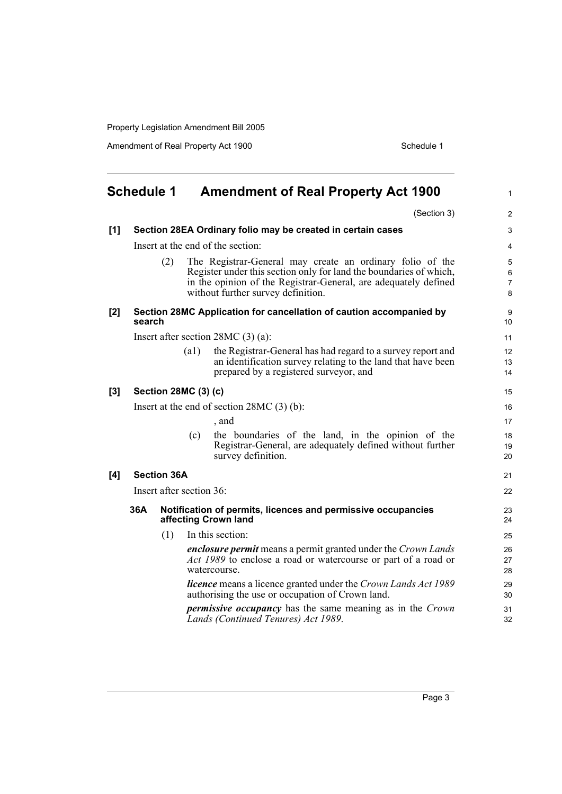Amendment of Real Property Act 1900 Schedule 1

|       |                             |                    | Schedule 1 Amendment of Real Property Act 1900                                                                                                                                                                                           | $\mathbf{1}$                  |
|-------|-----------------------------|--------------------|------------------------------------------------------------------------------------------------------------------------------------------------------------------------------------------------------------------------------------------|-------------------------------|
|       |                             |                    | (Section 3)                                                                                                                                                                                                                              | $\overline{2}$                |
| [1]   |                             |                    | Section 28EA Ordinary folio may be created in certain cases                                                                                                                                                                              | 3                             |
|       |                             |                    | Insert at the end of the section:                                                                                                                                                                                                        | $\overline{4}$                |
|       | (2)                         |                    | The Registrar-General may create an ordinary folio of the<br>Register under this section only for land the boundaries of which,<br>in the opinion of the Registrar-General, are adequately defined<br>without further survey definition. | 5<br>6<br>$\overline{7}$<br>8 |
| [2]   | search                      |                    | Section 28MC Application for cancellation of caution accompanied by                                                                                                                                                                      | 9<br>10                       |
|       |                             |                    | Insert after section $28MC(3)(a)$ :                                                                                                                                                                                                      | 11                            |
|       |                             | $\left( a1\right)$ | the Registrar-General has had regard to a survey report and<br>an identification survey relating to the land that have been<br>prepared by a registered surveyor, and                                                                    | 12<br>13<br>14                |
| $[3]$ | <b>Section 28MC (3) (c)</b> |                    |                                                                                                                                                                                                                                          | 15                            |
|       |                             |                    | Insert at the end of section $28MC(3)(b)$ :                                                                                                                                                                                              | 16                            |
|       |                             |                    | , and                                                                                                                                                                                                                                    | 17                            |
|       |                             | (c)                | the boundaries of the land, in the opinion of the<br>Registrar-General, are adequately defined without further<br>survey definition.                                                                                                     | 18<br>19<br>20                |
| [4]   | <b>Section 36A</b>          |                    |                                                                                                                                                                                                                                          | 21                            |
|       | Insert after section 36:    |                    |                                                                                                                                                                                                                                          | 22                            |
|       | 36A                         |                    | Notification of permits, licences and permissive occupancies<br>affecting Crown land                                                                                                                                                     | 23<br>24                      |
|       | (1)                         |                    | In this section:                                                                                                                                                                                                                         | 25                            |
|       |                             |                    | <i>enclosure permit</i> means a permit granted under the <i>Crown Lands</i><br>Act 1989 to enclose a road or watercourse or part of a road or<br>watercourse.                                                                            | 26<br>27<br>28                |
|       |                             |                    | <i>licence</i> means a licence granted under the <i>Crown Lands Act 1989</i><br>authorising the use or occupation of Crown land.                                                                                                         | 29<br>30                      |
|       |                             |                    | <i>permissive occupancy</i> has the same meaning as in the <i>Crown</i><br>Lands (Continued Tenures) Act 1989.                                                                                                                           | 31<br>32                      |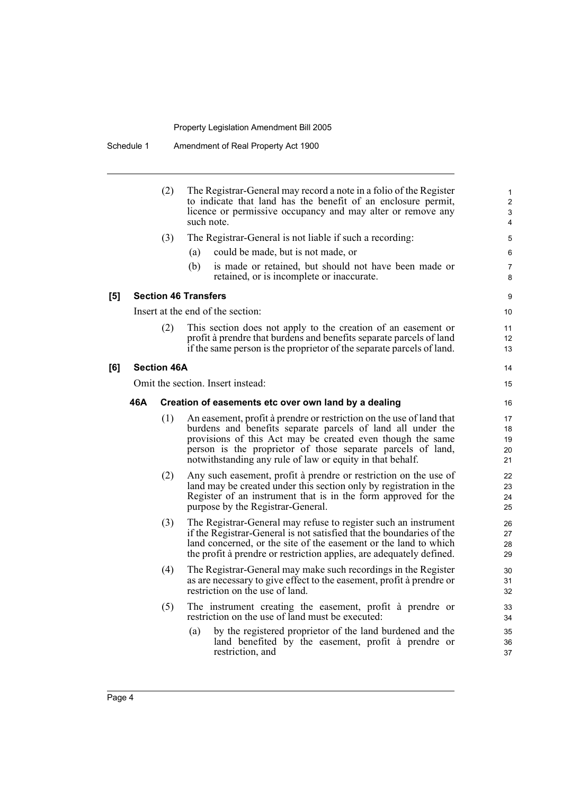|     |     | (2)                | The Registrar-General may record a note in a folio of the Register<br>to indicate that land has the benefit of an enclosure permit,<br>licence or permissive occupancy and may alter or remove any<br>such note. | 1<br>$\overline{2}$<br>3<br>4 |
|-----|-----|--------------------|------------------------------------------------------------------------------------------------------------------------------------------------------------------------------------------------------------------|-------------------------------|
|     |     | (3)                | The Registrar-General is not liable if such a recording:                                                                                                                                                         | 5                             |
|     |     |                    | could be made, but is not made, or<br>(a)                                                                                                                                                                        | 6                             |
|     |     |                    | (b)<br>is made or retained, but should not have been made or<br>retained, or is incomplete or inaccurate.                                                                                                        | $\overline{7}$<br>8           |
| [5] |     |                    | <b>Section 46 Transfers</b>                                                                                                                                                                                      | 9                             |
|     |     |                    | Insert at the end of the section:                                                                                                                                                                                | 10                            |
|     |     | (2)                | This section does not apply to the creation of an easement or<br>profit à prendre that burdens and benefits separate parcels of land<br>if the same person is the proprietor of the separate parcels of land.    | 11<br>12<br>13                |
| [6] |     | <b>Section 46A</b> |                                                                                                                                                                                                                  | 14                            |
|     |     |                    | Omit the section. Insert instead:                                                                                                                                                                                | 15                            |
|     | 46A |                    | Creation of easements etc over own land by a dealing                                                                                                                                                             | 16                            |
|     |     | (1)                | An easement, profit à prendre or restriction on the use of land that                                                                                                                                             | 17                            |
|     |     |                    | burdens and benefits separate parcels of land all under the                                                                                                                                                      | 18                            |
|     |     |                    | provisions of this Act may be created even though the same                                                                                                                                                       | 19                            |
|     |     |                    | person is the proprietor of those separate parcels of land,<br>notwithstanding any rule of law or equity in that behalf.                                                                                         | 20<br>21                      |
|     |     | (2)                | Any such easement, profit à prendre or restriction on the use of                                                                                                                                                 | 22                            |
|     |     |                    | land may be created under this section only by registration in the<br>Register of an instrument that is in the form approved for the                                                                             | 23<br>24                      |
|     |     |                    | purpose by the Registrar-General.                                                                                                                                                                                | 25                            |
|     |     | (3)                | The Registrar-General may refuse to register such an instrument                                                                                                                                                  | 26                            |
|     |     |                    | if the Registrar-General is not satisfied that the boundaries of the                                                                                                                                             | 27                            |
|     |     |                    | land concerned, or the site of the easement or the land to which<br>the profit à prendre or restriction applies, are adequately defined.                                                                         | 28<br>29                      |
|     |     | (4)                | The Registrar-General may make such recordings in the Register                                                                                                                                                   | 30                            |
|     |     |                    | as are necessary to give effect to the easement, profit à prendre or                                                                                                                                             | 31                            |
|     |     |                    | restriction on the use of land.                                                                                                                                                                                  | 32                            |
|     |     | (5)                | The instrument creating the easement, profit à prendre or<br>restriction on the use of land must be executed:                                                                                                    | 33<br>34                      |
|     |     |                    | by the registered proprietor of the land burdened and the<br>(a)                                                                                                                                                 | 35                            |
|     |     |                    | land benefited by the easement, profit à prendre or<br>restriction, and                                                                                                                                          | 36<br>37                      |
|     |     |                    |                                                                                                                                                                                                                  |                               |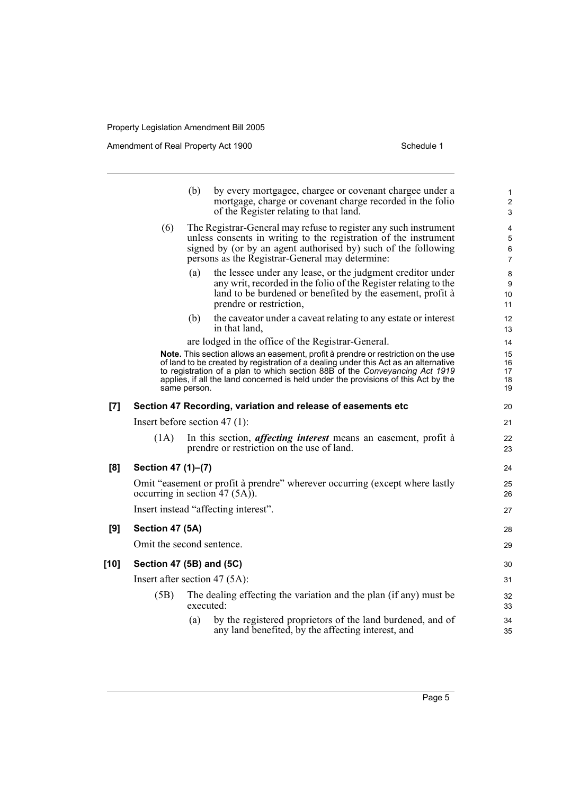Amendment of Real Property Act 1900 Schedule 1

**[8]** 

**[9] Section 47 (5A)**

**[10]** 

|     |                                  | (b)          | by every mortgagee, chargee or covenant chargee under a<br>mortgage, charge or covenant charge recorded in the folio<br>of the Register relating to that land.                                                                                                                                                                                | 1<br>$\overline{\mathbf{c}}$<br>3 |
|-----|----------------------------------|--------------|-----------------------------------------------------------------------------------------------------------------------------------------------------------------------------------------------------------------------------------------------------------------------------------------------------------------------------------------------|-----------------------------------|
|     | (6)                              |              | The Registrar-General may refuse to register any such instrument<br>unless consents in writing to the registration of the instrument<br>signed by (or by an agent authorised by) such of the following<br>persons as the Registrar-General may determine:                                                                                     | 4<br>5<br>6<br>$\overline{7}$     |
|     |                                  | (a)          | the lessee under any lease, or the judgment creditor under<br>any writ, recorded in the folio of the Register relating to the<br>land to be burdened or benefited by the easement, profit à<br>prendre or restriction,                                                                                                                        | 8<br>9<br>10<br>11                |
|     |                                  | (b)          | the caveator under a caveat relating to any estate or interest<br>in that land.                                                                                                                                                                                                                                                               | 12<br>13                          |
|     |                                  |              | are lodged in the office of the Registrar-General.                                                                                                                                                                                                                                                                                            | 14                                |
|     |                                  | same person. | Note. This section allows an easement, profit à prendre or restriction on the use<br>of land to be created by registration of a dealing under this Act as an alternative<br>to registration of a plan to which section 88B of the Conveyancing Act 1919<br>applies, if all the land concerned is held under the provisions of this Act by the | 15<br>16<br>17<br>18<br>19        |
| [7] |                                  |              | Section 47 Recording, variation and release of easements etc                                                                                                                                                                                                                                                                                  | 20                                |
|     | Insert before section 47 $(1)$ : |              |                                                                                                                                                                                                                                                                                                                                               | 21                                |
|     | (1A)                             |              | In this section, <i>affecting interest</i> means an easement, profit à<br>prendre or restriction on the use of land.                                                                                                                                                                                                                          | 22<br>23                          |
| [8] | Section 47 (1)-(7)               |              |                                                                                                                                                                                                                                                                                                                                               | 24                                |
|     |                                  |              | Omit "easement or profit à prendre" wherever occurring (except where lastly<br>occurring in section 47 $(5A)$ ).                                                                                                                                                                                                                              | 25<br>26                          |
|     |                                  |              | Insert instead "affecting interest".                                                                                                                                                                                                                                                                                                          | 27                                |
| [9] | Section 47 (5A)                  |              |                                                                                                                                                                                                                                                                                                                                               | 28                                |
|     | Omit the second sentence.        |              |                                                                                                                                                                                                                                                                                                                                               | 29                                |
| 101 | Section 47 (5B) and (5C)         |              |                                                                                                                                                                                                                                                                                                                                               | 30                                |
|     | Insert after section 47 $(5A)$ : |              |                                                                                                                                                                                                                                                                                                                                               | 31                                |
|     | (5B)                             |              | The dealing effecting the variation and the plan (if any) must be<br>executed:                                                                                                                                                                                                                                                                | 32<br>33                          |
|     |                                  | (a)          | by the registered proprietors of the land burdened, and of<br>any land benefited, by the affecting interest, and                                                                                                                                                                                                                              | 34<br>35                          |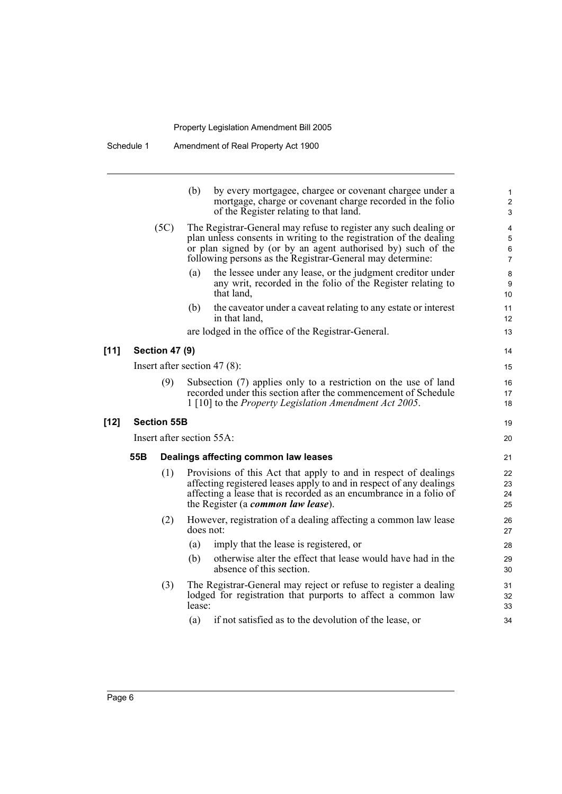|     |                                 | (b)       | by every mortgagee, chargee or covenant chargee under a<br>mortgage, charge or covenant charge recorded in the folio<br>of the Register relating to that land.                                                                                                      | $\mathbf{1}$<br>2<br>3        |  |
|-----|---------------------------------|-----------|---------------------------------------------------------------------------------------------------------------------------------------------------------------------------------------------------------------------------------------------------------------------|-------------------------------|--|
|     | (5C)                            |           | The Registrar-General may refuse to register any such dealing or<br>plan unless consents in writing to the registration of the dealing<br>or plan signed by (or by an agent authorised by) such of the<br>following persons as the Registrar-General may determine: | 4<br>5<br>6<br>$\overline{7}$ |  |
|     |                                 | (a)       | the lessee under any lease, or the judgment creditor under<br>any writ, recorded in the folio of the Register relating to<br>that land,                                                                                                                             | 8<br>9<br>10                  |  |
|     |                                 | (b)       | the caveator under a caveat relating to any estate or interest<br>in that land,                                                                                                                                                                                     | 11<br>12                      |  |
|     |                                 |           | are lodged in the office of the Registrar-General.                                                                                                                                                                                                                  | 13                            |  |
|     | <b>Section 47 (9)</b>           |           |                                                                                                                                                                                                                                                                     | 14                            |  |
|     | Insert after section 47 $(8)$ : |           |                                                                                                                                                                                                                                                                     |                               |  |
|     | (9)                             |           | Subsection (7) applies only to a restriction on the use of land<br>recorded under this section after the commencement of Schedule<br>1 [10] to the Property Legislation Amendment Act 2005.                                                                         | 16<br>17<br>18                |  |
|     | <b>Section 55B</b>              |           |                                                                                                                                                                                                                                                                     | 19                            |  |
|     | Insert after section 55A:       |           |                                                                                                                                                                                                                                                                     | 20                            |  |
| 55B |                                 |           | Dealings affecting common law leases                                                                                                                                                                                                                                | 21                            |  |
|     | (1)                             |           | Provisions of this Act that apply to and in respect of dealings<br>affecting registered leases apply to and in respect of any dealings<br>affecting a lease that is recorded as an encumbrance in a folio of<br>the Register (a <i>common law lease</i> ).          | 22<br>23<br>24<br>25          |  |
|     | (2)                             | does not: | However, registration of a dealing affecting a common law lease                                                                                                                                                                                                     | 26<br>27                      |  |
|     |                                 | (a)       | imply that the lease is registered, or                                                                                                                                                                                                                              | 28                            |  |
|     |                                 | (b)       | otherwise alter the effect that lease would have had in the<br>absence of this section.                                                                                                                                                                             | 29<br>30                      |  |
|     | (3)                             | lease:    | The Registrar-General may reject or refuse to register a dealing<br>lodged for registration that purports to affect a common law                                                                                                                                    | 31<br>32<br>33                |  |
|     |                                 | (a)       | if not satisfied as to the devolution of the lease, or                                                                                                                                                                                                              | 34                            |  |
|     |                                 |           |                                                                                                                                                                                                                                                                     |                               |  |

 $[11]$ 

**[12]**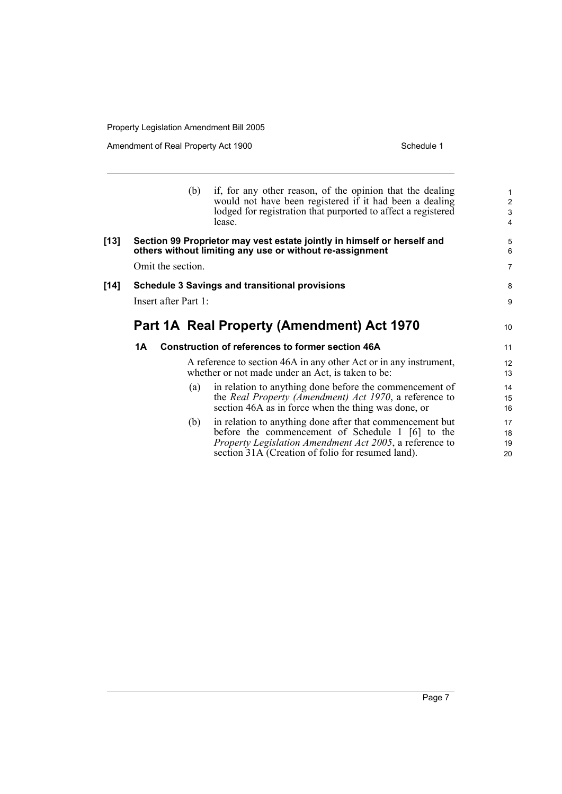Amendment of Real Property Act 1900 Schedule 1

|      |    |                      | (b) | if, for any other reason, of the opinion that the dealing<br>would not have been registered if it had been a dealing<br>lodged for registration that purported to affect a registered<br>lease.                                      | $\mathbf{1}$<br>$\overline{c}$<br>3<br>$\overline{\mathbf{4}}$ |
|------|----|----------------------|-----|--------------------------------------------------------------------------------------------------------------------------------------------------------------------------------------------------------------------------------------|----------------------------------------------------------------|
| [13] |    |                      |     | Section 99 Proprietor may vest estate jointly in himself or herself and<br>others without limiting any use or without re-assignment                                                                                                  | 5<br>6                                                         |
|      |    | Omit the section.    |     |                                                                                                                                                                                                                                      | $\overline{7}$                                                 |
| [14] |    |                      |     | <b>Schedule 3 Savings and transitional provisions</b>                                                                                                                                                                                | 8                                                              |
|      |    | Insert after Part 1: |     |                                                                                                                                                                                                                                      | 9                                                              |
|      |    |                      |     | Part 1A Real Property (Amendment) Act 1970                                                                                                                                                                                           | 10                                                             |
|      | 1Α |                      |     | Construction of references to former section 46A                                                                                                                                                                                     | 11                                                             |
|      |    |                      |     | A reference to section 46A in any other Act or in any instrument,<br>whether or not made under an Act, is taken to be:                                                                                                               | 12<br>13                                                       |
|      |    |                      | (a) | in relation to anything done before the commencement of<br>the Real Property (Amendment) Act 1970, a reference to<br>section 46A as in force when the thing was done, or                                                             | 14<br>15<br>16                                                 |
|      |    |                      | (b) | in relation to anything done after that commencement but<br>before the commencement of Schedule 1 [6] to the<br><i>Property Legislation Amendment Act 2005</i> , a reference to<br>section 31A (Creation of folio for resumed land). | 17<br>18<br>19<br>20                                           |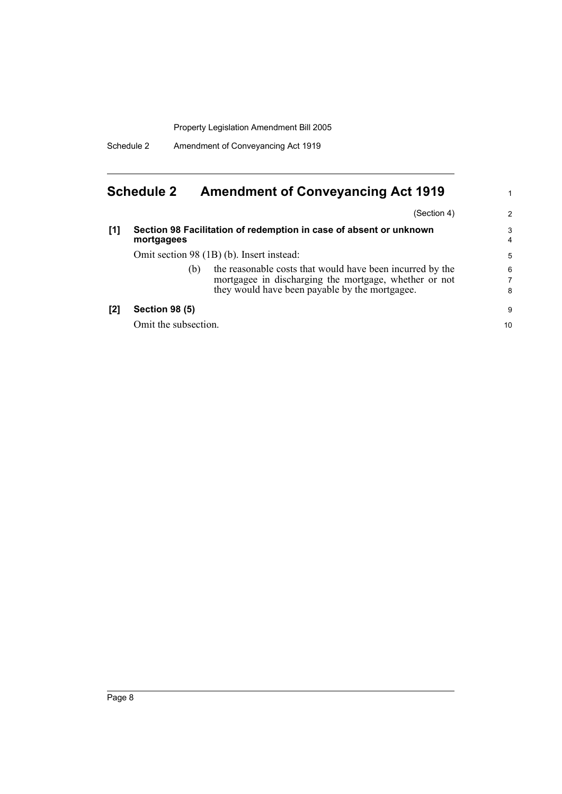Schedule 2 Amendment of Conveyancing Act 1919

# **Schedule 2 Amendment of Conveyancing Act 1919**

|     |                       | (Section 4)                                                                                                        | 2      |
|-----|-----------------------|--------------------------------------------------------------------------------------------------------------------|--------|
| [1] | mortgagees            | Section 98 Facilitation of redemption in case of absent or unknown                                                 | 3<br>4 |
|     |                       | Omit section 98 (1B) (b). Insert instead:                                                                          | 5      |
|     | (b)                   | the reasonable costs that would have been incurred by the<br>mortgagee in discharging the mortgage, whether or not | 6<br>7 |
|     |                       | they would have been payable by the mortgagee.                                                                     | 8      |
| [2] | <b>Section 98 (5)</b> |                                                                                                                    | 9      |
|     | Omit the subsection.  |                                                                                                                    | 10     |
|     |                       |                                                                                                                    |        |

1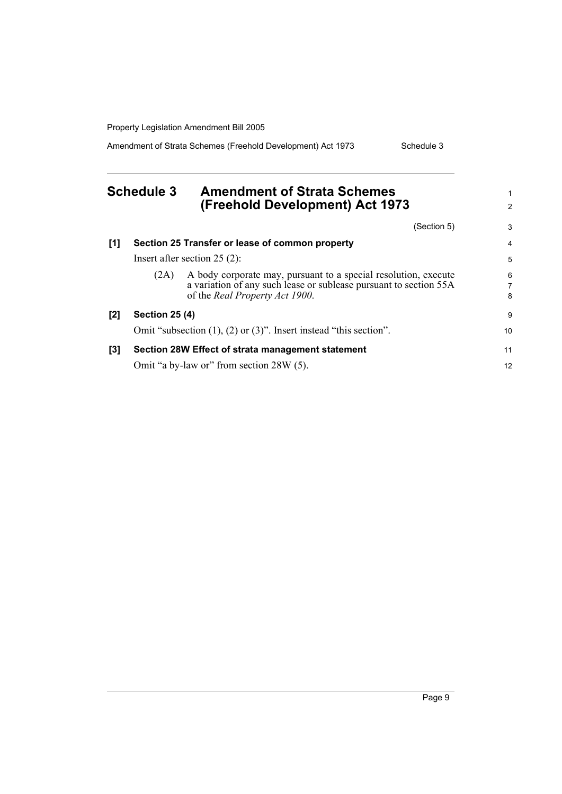Amendment of Strata Schemes (Freehold Development) Act 1973 Schedule 3

### **Schedule 3 Amendment of Strata Schemes (Freehold Development) Act 1973**

(Section 5)

1 2

3

| [1]   |                                | Section 25 Transfer or lease of common property                                                                                                                                | 4           |
|-------|--------------------------------|--------------------------------------------------------------------------------------------------------------------------------------------------------------------------------|-------------|
|       | Insert after section $25(2)$ : |                                                                                                                                                                                |             |
|       | (2A)                           | A body corporate may, pursuant to a special resolution, execute<br>a variation of any such lease or sublease pursuant to section 55A<br>of the <i>Real Property Act 1900</i> . | 6<br>7<br>8 |
| [2]   | <b>Section 25 (4)</b>          |                                                                                                                                                                                | 9           |
|       |                                | Omit "subsection $(1)$ , $(2)$ or $(3)$ ". Insert instead "this section".                                                                                                      | 10          |
| $[3]$ |                                | Section 28W Effect of strata management statement                                                                                                                              | 11          |
|       |                                | Omit "a by-law or" from section 28W (5).                                                                                                                                       | 12          |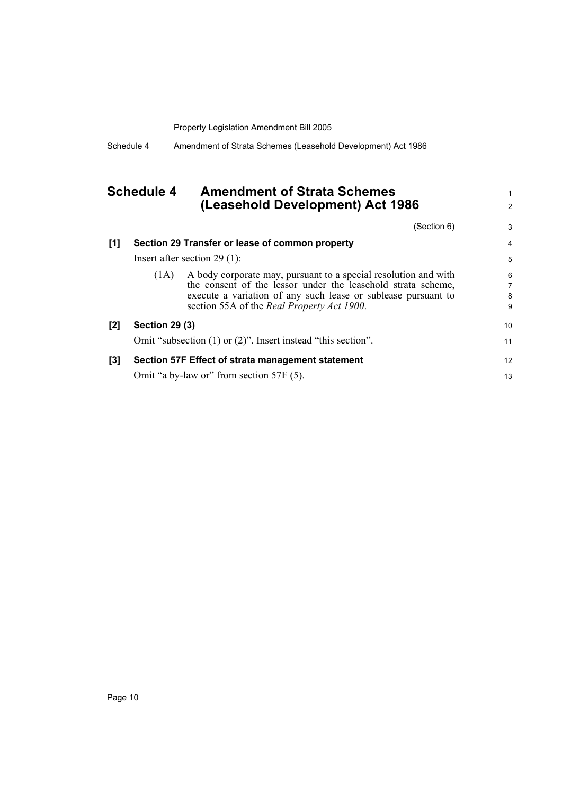Schedule 4 Amendment of Strata Schemes (Leasehold Development) Act 1986

### **Schedule 4 Amendment of Strata Schemes (Leasehold Development) Act 1986**

(Section 6)

1 2

3

| [1]   |                                | Section 29 Transfer or lease of common property                                                                                                                                                                                                | $\overline{4}$   |
|-------|--------------------------------|------------------------------------------------------------------------------------------------------------------------------------------------------------------------------------------------------------------------------------------------|------------------|
|       | Insert after section $29(1)$ : |                                                                                                                                                                                                                                                |                  |
|       | (1A)                           | A body corporate may, pursuant to a special resolution and with<br>the consent of the lessor under the leasehold strata scheme,<br>execute a variation of any such lease or sublease pursuant to<br>section 55A of the Real Property Act 1900. | 6<br>7<br>8<br>9 |
| [2]   | <b>Section 29 (3)</b>          |                                                                                                                                                                                                                                                | 10               |
|       |                                | Omit "subsection $(1)$ or $(2)$ ". Insert instead "this section".                                                                                                                                                                              | 11               |
| $[3]$ |                                | Section 57F Effect of strata management statement                                                                                                                                                                                              | 12               |
|       |                                | Omit "a by-law or" from section 57F (5).                                                                                                                                                                                                       | 13               |